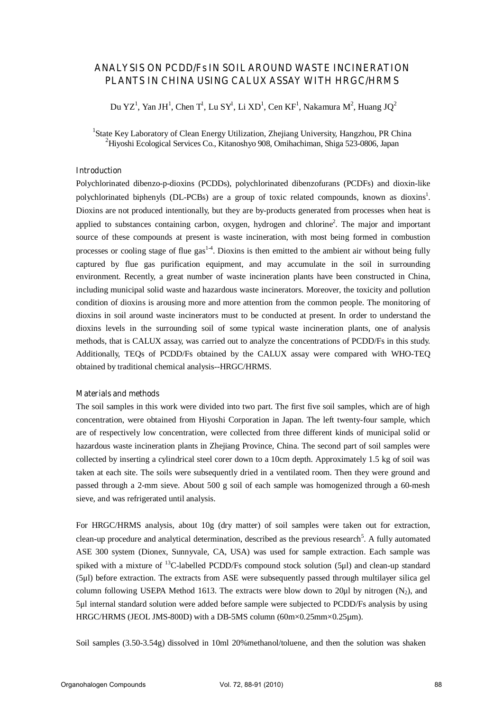# **ANALYSIS ON PCDD/Fs IN SOIL AROUND WASTE INCINERATION PLANTS IN CHINA USING CALUX ASSAY WITH HRGC/HRMS**

Du YZ<sup>1</sup>, Yan JH<sup>1</sup>, Chen T<sup>1</sup>, Lu SY<sup>1</sup>, Li XD<sup>1</sup>, Cen KF<sup>1</sup>, Nakamura M<sup>2</sup>, Huang JQ<sup>2</sup>

<sup>1</sup>State Key Laboratory of Clean Energy Utilization, Zhejiang University, Hangzhou, PR China 2 Hiyoshi Ecological Services Co., Kitanoshyo 908, Omihachiman, Shiga 523-0806, Japan

### **Introduction**

Polychlorinated dibenzo-p-dioxins (PCDDs), polychlorinated dibenzofurans (PCDFs) and dioxin-like polychlorinated biphenyls (DL-PCBs) are a group of toxic related compounds, known as dioxins<sup>1</sup>. Dioxins are not produced intentionally, but they are by-products generated from processes when heat is applied to substances containing carbon, oxygen, hydrogen and chlorine<sup>2</sup>. The major and important source of these compounds at present is waste incineration, with most being formed in combustion processes or cooling stage of flue gas<sup>1-4</sup>. Dioxins is then emitted to the ambient air without being fully captured by flue gas purification equipment, and may accumulate in the soil in surrounding environment. Recently, a great number of waste incineration plants have been constructed in China, including municipal solid waste and hazardous waste incinerators. Moreover, the toxicity and pollution condition of dioxins is arousing more and more attention from the common people. The monitoring of dioxins in soil around waste incinerators must to be conducted at present. In order to understand the dioxins levels in the surrounding soil of some typical waste incineration plants, one of analysis methods, that is CALUX assay, was carried out to analyze the concentrations of PCDD/Fs in this study. Additionally, TEQs of PCDD/Fs obtained by the CALUX assay were compared with WHO-TEQ obtained by traditional chemical analysis--HRGC/HRMS.

### **Materials and methods**

The soil samples in this work were divided into two part. The first five soil samples, which are of high concentration, were obtained from Hiyoshi Corporation in Japan. The left twenty-four sample, which are of respectively low concentration, were collected from three different kinds of municipal solid or hazardous waste incineration plants in Zhejiang Province, China. The second part of soil samples were collected by inserting a cylindrical steel corer down to a 10cm depth. Approximately 1.5 kg of soil was taken at each site. The soils were subsequently dried in a ventilated room. Then they were ground and passed through a 2-mm sieve. About 500 g soil of each sample was homogenized through a 60-mesh sieve, and was refrigerated until analysis.

For HRGC/HRMS analysis, about 10g (dry matter) of soil samples were taken out for extraction, clean-up procedure and analytical determination, described as the previous research<sup>5</sup>. A fully automated ASE 300 system (Dionex, Sunnyvale, CA, USA) was used for sample extraction. Each sample was spiked with a mixture of  $^{13}$ C-labelled PCDD/Fs compound stock solution (5 $\mu$ l) and clean-up standard (5μl) before extraction. The extracts from ASE were subsequently passed through multilayer silica gel column following USEPA Method 1613. The extracts were blow down to 20 $\mu$ l by nitrogen (N<sub>2</sub>), and 5μl internal standard solution were added before sample were subjected to PCDD/Fs analysis by using HRGC/HRMS (JEOL JMS-800D) with a DB-5MS column (60m×0.25mm×0.25um).

Soil samples (3.50-3.54g) dissolved in 10ml 20%methanol/toluene, and then the solution was shaken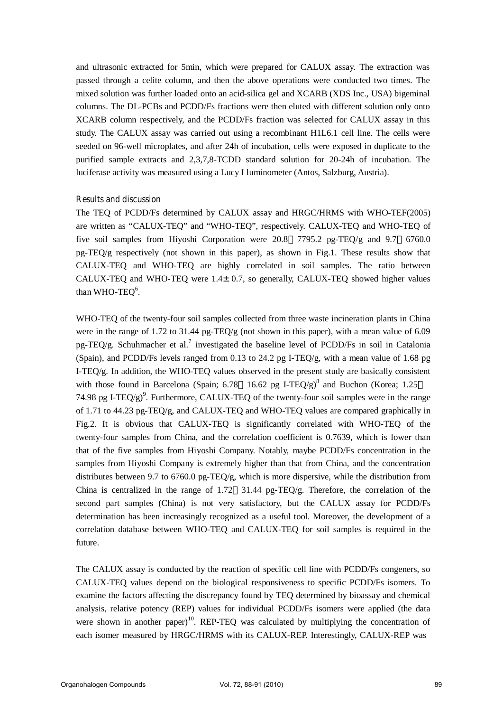and ultrasonic extracted for 5min, which were prepared for CALUX assay. The extraction was passed through a celite column, and then the above operations were conducted two times. The mixed solution was further loaded onto an acid-silica gel and XCARB (XDS Inc., USA) bigeminal columns. The DL-PCBs and PCDD/Fs fractions were then eluted with different solution only onto XCARB column respectively, and the PCDD/Fs fraction was selected for CALUX assay in this study. The CALUX assay was carried out using a recombinant H1L6.1 cell line. The cells were seeded on 96-well microplates, and after 24h of incubation, cells were exposed in duplicate to the purified sample extracts and 2,3,7,8-TCDD standard solution for 20-24h of incubation. The luciferase activity was measured using a Lucy I luminometer (Antos, Salzburg, Austria).

## **Results and discussion**

The TEQ of PCDD/Fs determined by CALUX assay and HRGC/HRMS with WHO-TEF(2005) are written as "CALUX-TEQ" and "WHO-TEQ", respectively. CALUX-TEQ and WHO-TEQ of five soil samples from Hiyoshi Corporation were 20.8 7795.2 pg-TEQ/g and 9.7 6760.0 pg-TEQ/g respectively (not shown in this paper), as shown in Fig.1. These results show that CALUX-TEQ and WHO-TEQ are highly correlated in soil samples. The ratio between CALUX-TEQ and WHO-TEQ were  $1.4 \pm 0.7$ , so generally, CALUX-TEQ showed higher values than WHO-TEQ $6$ .

WHO-TEQ of the twenty-four soil samples collected from three waste incineration plants in China were in the range of 1.72 to 31.44 pg-TEO/g (not shown in this paper), with a mean value of 6.09 pg-TEQ/g. Schuhmacher et al.<sup>7</sup> investigated the baseline level of PCDD/Fs in soil in Catalonia (Spain), and PCDD/Fs levels ranged from 0.13 to 24.2 pg I-TEQ/g, with a mean value of 1.68 pg I-TEQ/g. In addition, the WHO-TEQ values observed in the present study are basically consistent with those found in Barcelona (Spain; 6.78 16.62 pg I-TEQ/g)<sup>8</sup> and Buchon (Korea; 1.25 74.98 pg I-TEQ/g)<sup>9</sup>. Furthermore, CALUX-TEQ of the twenty-four soil samples were in the range of 1.71 to 44.23 pg-TEQ/g, and CALUX-TEQ and WHO-TEQ values are compared graphically in Fig.2. It is obvious that CALUX-TEQ is significantly correlated with WHO-TEQ of the twenty-four samples from China, and the correlation coefficient is 0.7639, which is lower than that of the five samples from Hiyoshi Company. Notably, maybe PCDD/Fs concentration in the samples from Hiyoshi Company is extremely higher than that from China, and the concentration distributes between 9.7 to 6760.0 pg-TEQ/g, which is more dispersive, while the distribution from China is centralized in the range of  $1.72$  31.44 pg-TEQ/g. Therefore, the correlation of the second part samples (China) is not very satisfactory, but the CALUX assay for PCDD/Fs determination has been increasingly recognized as a useful tool. Moreover, the development of a correlation database between WHO-TEQ and CALUX-TEQ for soil samples is required in the future.

The CALUX assay is conducted by the reaction of specific cell line with PCDD/Fs congeners, so CALUX-TEQ values depend on the biological responsiveness to specific PCDD/Fs isomers. To examine the factors affecting the discrepancy found by TEQ determined by bioassay and chemical analysis, relative potency (REP) values for individual PCDD/Fs isomers were applied (the data were shown in another paper)<sup>10</sup>. REP-TEQ was calculated by multiplying the concentration of each isomer measured by HRGC/HRMS with its CALUX-REP. Interestingly, CALUX-REP was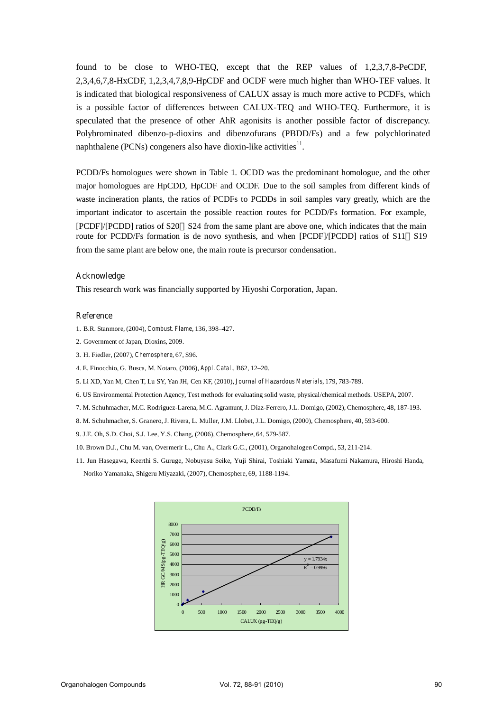found to be close to WHO-TEQ, except that the REP values of 1,2,3,7,8-PeCDF, 2,3,4,6,7,8-HxCDF, 1,2,3,4,7,8,9-HpCDF and OCDF were much higher than WHO-TEF values. It is indicated that biological responsiveness of CALUX assay is much more active to PCDFs, which is a possible factor of differences between CALUX-TEQ and WHO-TEQ. Furthermore, it is speculated that the presence of other AhR agonisits is another possible factor of discrepancy. Polybrominated dibenzo-p-dioxins and dibenzofurans (PBDD/Fs) and a few polychlorinated naphthalene (PCNs) congeners also have dioxin-like activities $^{11}$ .

PCDD/Fs homologues were shown in Table 1. OCDD was the predominant homologue, and the other major homologues are HpCDD, HpCDF and OCDF. Due to the soil samples from different kinds of waste incineration plants, the ratios of PCDFs to PCDDs in soil samples vary greatly, which are the important indicator to ascertain the possible reaction routes for PCDD/Fs formation. For example, [PCDF]/[PCDD] ratios of S20 S24 from the same plant are above one, which indicates that the main route for PCDD/Fs formation is de novo synthesis, and when [PCDF]/[PCDD] ratios of S11 S19 from the same plant are below one, the main route is precursor condensation.

### **Acknowledge**

This research work was financially supported by Hiyoshi Corporation, Japan.

#### **Reference**

- 1. B.R. Stanmore, (2004), *Combust. Flame*, 136, 398–427.
- 2. Government of Japan, Dioxins, 2009.
- 3. H. Fiedler, (2007), *Chemosphere*, 67, S96.
- 4. E. Finocchio, G. Busca, M. Notaro, (2006), *Appl. Catal.*, B62, 12–20.
- 5. Li XD, Yan M, Chen T, Lu SY, Yan JH, Cen KF, (2010), *Journal of Hazardous Materials*, 179, 783-789.
- 6. US Environmental Protection Agency, Test methods for evaluating solid waste, physical/chemical methods. USEPA, 2007.
- 7. M. Schuhmacher, M.C. Rodriguez-Larena, M.C. Agramunt, J. Diaz-Ferrero, J.L. Domigo, (2002), Chemosphere, 48, 187-193.
- 8. M. Schuhmacher, S. Granero, J. Rivera, L. Muller, J.M. Llobet, J.L. Domigo, (2000), Chemosphere, 40, 593-600.
- 9. J.E. Oh, S.D. Choi, S.J. Lee, Y.S. Chang, (2006), Chemosphere, 64, 579-587.
- 10. Brown D.J., Chu M. van, Overmerir L., Chu A., Clark G.C., (2001), Organohalogen Compd., 53, 211-214.
- 11. Jun Hasegawa, Keerthi S. Guruge, Nobuyasu Seike, Yuji Shirai, Toshiaki Yamata, Masafumi Nakamura, Hiroshi Handa, Noriko Yamanaka, Shigeru Miyazaki, (2007), Chemosphere, 69, 1188-1194.